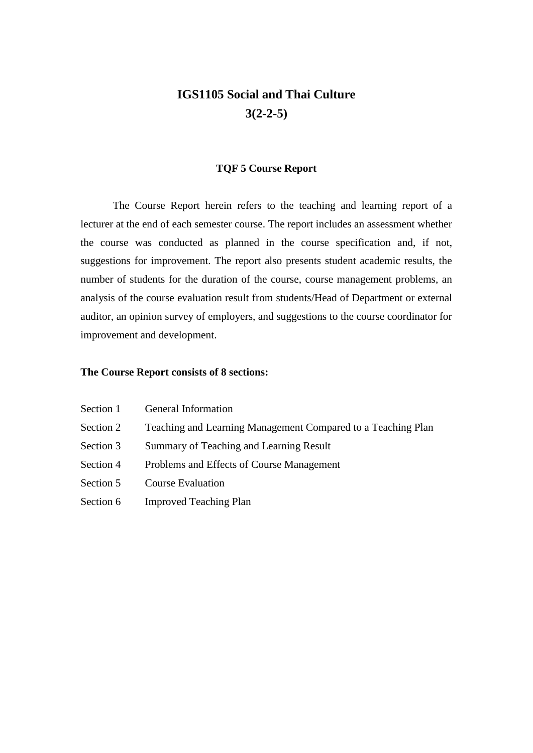# **IGS1105 Social and Thai Culture 3(2-2-5)**

#### **TQF 5 Course Report**

The Course Report herein refers to the teaching and learning report of a lecturer at the end of each semester course. The report includes an assessment whether the course was conducted as planned in the course specification and, if not, suggestions for improvement. The report also presents student academic results, the number of students for the duration of the course, course management problems, an analysis of the course evaluation result from students/Head of Department or external auditor, an opinion survey of employers, and suggestions to the course coordinator for improvement and development.

#### **The Course Report consists of 8 sections:**

| Section 1 | <b>General Information</b>                                   |
|-----------|--------------------------------------------------------------|
| Section 2 | Teaching and Learning Management Compared to a Teaching Plan |
| Section 3 | Summary of Teaching and Learning Result                      |
| Section 4 | Problems and Effects of Course Management                    |
| Section 5 | <b>Course Evaluation</b>                                     |
| Section 6 | <b>Improved Teaching Plan</b>                                |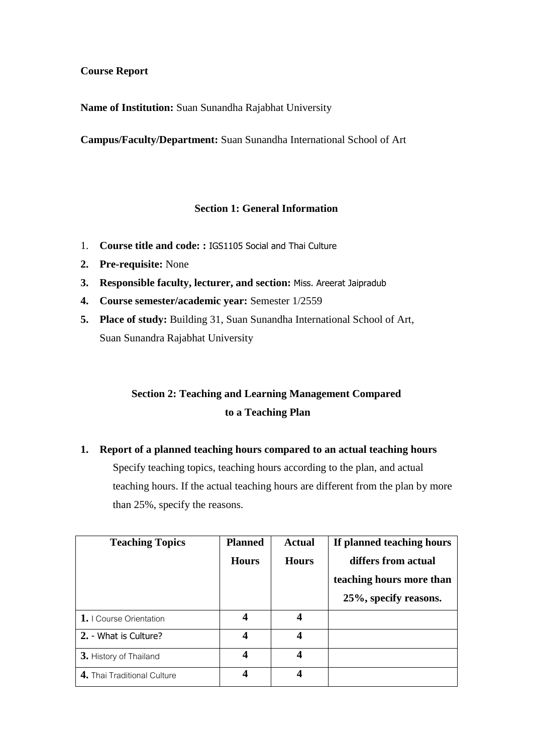#### **Course Report**

**Name of Institution:** Suan Sunandha Rajabhat University

**Campus/Faculty/Department:** Suan Sunandha International School of Art

#### **Section 1: General Information**

- 1. **Course title and code: :** IGS1105 Social and Thai Culture
- **2. Pre-requisite:** None
- **3. Responsible faculty, lecturer, and section:** Miss. Areerat Jaipradub
- **4. Course semester/academic year:** Semester 1/2559

than 25%, specify the reasons.

**5. Place of study:** Building 31, Suan Sunandha International School of Art, Suan Sunandra Rajabhat University

## **Section 2: Teaching and Learning Management Compared to a Teaching Plan**

**1. Report of a planned teaching hours compared to an actual teaching hours** Specify teaching topics, teaching hours according to the plan, and actual teaching hours. If the actual teaching hours are different from the plan by more

**Teaching Topics Planned Hours Actual Hours If planned teaching hours differs from actual teaching hours more than 25%, specify reasons. 1.** I Course Orientation **4 4 2.** - What is Culture? **4 4 3.** History of Thailand **4 4 4 4 4.** Thai Traditional Culture **4 4**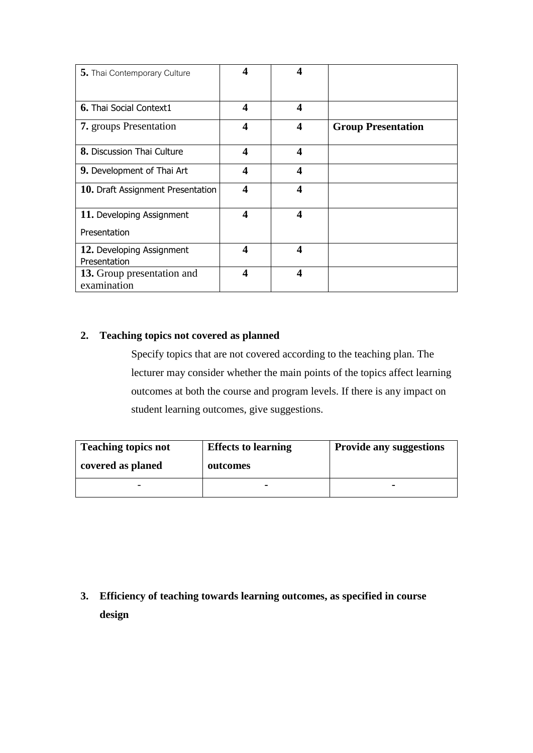| 5. Thai Contemporary Culture      | 4 | 4                       |                           |
|-----------------------------------|---|-------------------------|---------------------------|
| 6. Thai Social Context1           | 4 | 4                       |                           |
| <b>7.</b> groups Presentation     | 4 | $\overline{\mathbf{4}}$ | <b>Group Presentation</b> |
| 8. Discussion Thai Culture        | 4 | 4                       |                           |
| 9. Development of Thai Art        | 4 | 4                       |                           |
| 10. Draft Assignment Presentation | 4 | $\boldsymbol{4}$        |                           |
| 11. Developing Assignment         | 4 | $\overline{\mathbf{4}}$ |                           |
| Presentation                      |   |                         |                           |
| 12. Developing Assignment         | 4 | 4                       |                           |
| Presentation                      |   |                         |                           |
| 13. Group presentation and        | 4 | $\boldsymbol{4}$        |                           |
| examination                       |   |                         |                           |

## **2. Teaching topics not covered as planned**

Specify topics that are not covered according to the teaching plan. The lecturer may consider whether the main points of the topics affect learning outcomes at both the course and program levels. If there is any impact on student learning outcomes, give suggestions.

| <b>Teaching topics not</b> | <b>Effects to learning</b> | <b>Provide any suggestions</b> |
|----------------------------|----------------------------|--------------------------------|
| covered as planed          | outcomes                   |                                |
|                            |                            | -                              |

**3. Efficiency of teaching towards learning outcomes, as specified in course design**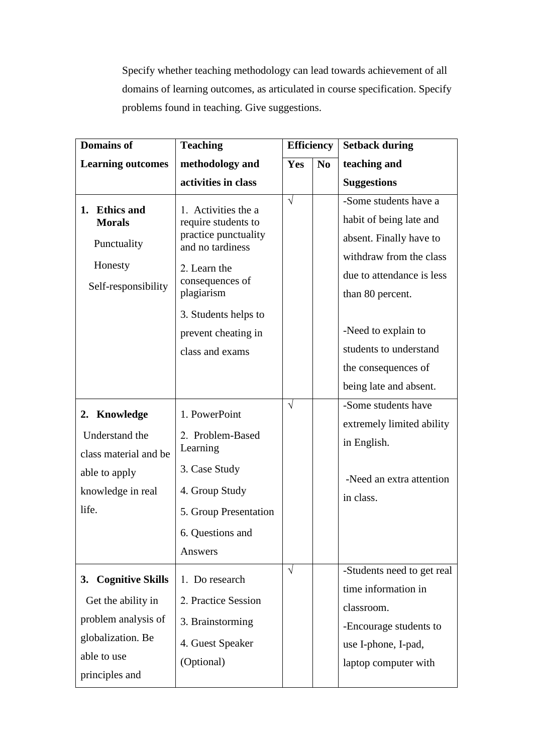Specify whether teaching methodology can lead towards achievement of all domains of learning outcomes, as articulated in course specification. Specify problems found in teaching. Give suggestions.

| <b>Domains of</b>        | <b>Teaching</b>                          | <b>Efficiency</b> |                | <b>Setback during</b>      |
|--------------------------|------------------------------------------|-------------------|----------------|----------------------------|
| <b>Learning outcomes</b> | methodology and                          | Yes               | N <sub>0</sub> | teaching and               |
|                          | activities in class                      |                   |                | <b>Suggestions</b>         |
| 1. Ethics and            | 1. Activities the a                      | $\sqrt{}$         |                | -Some students have a      |
| <b>Morals</b>            | require students to                      |                   |                | habit of being late and    |
| Punctuality              | practice punctuality<br>and no tardiness |                   |                | absent. Finally have to    |
| Honesty                  |                                          |                   |                | withdraw from the class    |
|                          | 2. Learn the<br>consequences of          |                   |                | due to attendance is less  |
| Self-responsibility      | plagiarism                               |                   |                | than 80 percent.           |
|                          | 3. Students helps to                     |                   |                |                            |
|                          | prevent cheating in                      |                   |                | -Need to explain to        |
|                          | class and exams                          |                   |                | students to understand     |
|                          |                                          |                   |                | the consequences of        |
|                          |                                          |                   |                | being late and absent.     |
| 2. Knowledge             | 1. PowerPoint                            | $\sqrt{ }$        |                | -Some students have        |
| Understand the           | 2. Problem-Based                         |                   |                | extremely limited ability  |
| class material and be    | Learning                                 |                   |                | in English.                |
| able to apply            | 3. Case Study                            |                   |                | -Need an extra attention   |
| knowledge in real        | 4. Group Study                           |                   |                | in class.                  |
| life.                    | 5. Group Presentation                    |                   |                |                            |
|                          | 6. Questions and                         |                   |                |                            |
|                          | Answers                                  |                   |                |                            |
| 3. Cognitive Skills      | 1. Do research                           | $\sqrt{}$         |                | -Students need to get real |
|                          | 2. Practice Session                      |                   |                | time information in        |
| Get the ability in       |                                          |                   |                | classroom.                 |
| problem analysis of      | 3. Brainstorming                         |                   |                | -Encourage students to     |
| globalization. Be        | 4. Guest Speaker                         |                   |                | use I-phone, I-pad,        |
| able to use              | (Optional)                               |                   |                | laptop computer with       |
| principles and           |                                          |                   |                |                            |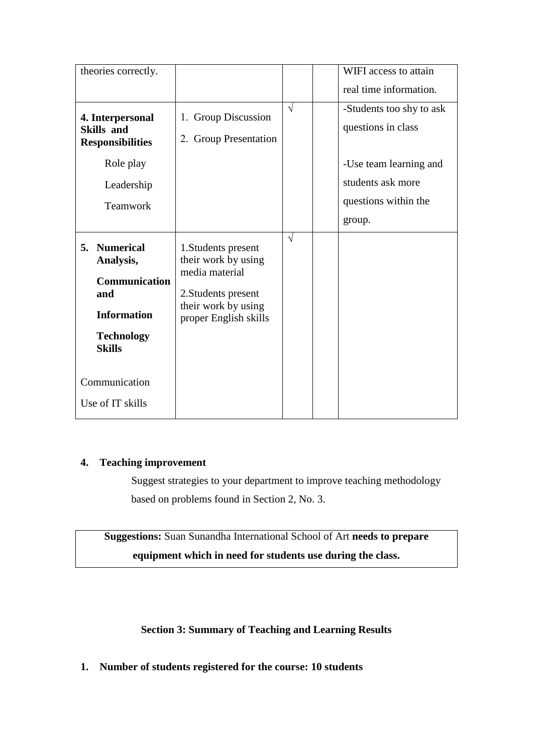| theories correctly.                                                                                                  |                                                                                                                                     |            | WIFI access to attain                                                                                                           |
|----------------------------------------------------------------------------------------------------------------------|-------------------------------------------------------------------------------------------------------------------------------------|------------|---------------------------------------------------------------------------------------------------------------------------------|
|                                                                                                                      |                                                                                                                                     |            | real time information.                                                                                                          |
| 4. Interpersonal<br><b>Skills</b> and<br><b>Responsibilities</b><br>Role play<br>Leadership<br>Teamwork              | 1. Group Discussion<br>2. Group Presentation                                                                                        | $\sqrt{ }$ | -Students too shy to ask<br>questions in class<br>-Use team learning and<br>students ask more<br>questions within the<br>group. |
| 5. Numerical<br>Analysis,<br><b>Communication</b><br>and<br><b>Information</b><br><b>Technology</b><br><b>Skills</b> | 1. Students present<br>their work by using<br>media material<br>2. Students present<br>their work by using<br>proper English skills | $\sqrt{ }$ |                                                                                                                                 |
| Communication                                                                                                        |                                                                                                                                     |            |                                                                                                                                 |
| Use of IT skills                                                                                                     |                                                                                                                                     |            |                                                                                                                                 |

### **4. Teaching improvement**

Suggest strategies to your department to improve teaching methodology based on problems found in Section 2, No. 3.

**Suggestions:** Suan Sunandha International School of Art **needs to prepare equipment which in need for students use during the class.**

### **Section 3: Summary of Teaching and Learning Results**

**1. Number of students registered for the course: 10 students**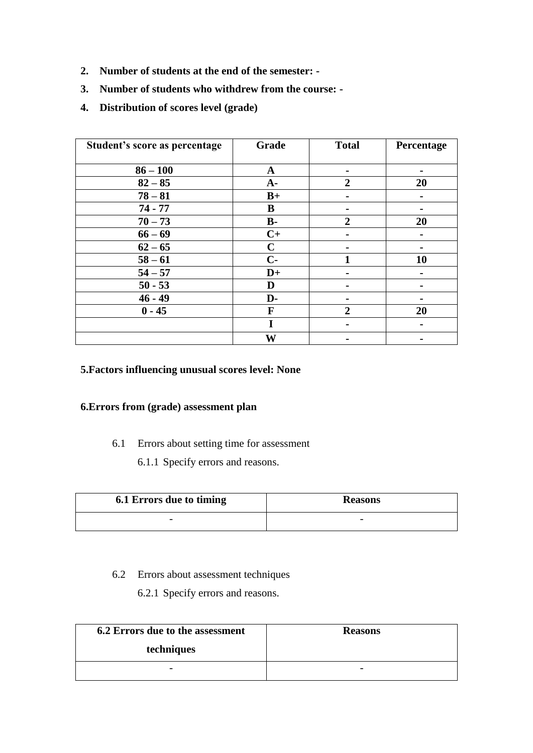- **2. Number of students at the end of the semester: -**
- **3. Number of students who withdrew from the course: -**
- **4. Distribution of scores level (grade)**

| Student's score as percentage | Grade       | <b>Total</b>   | Percentage |
|-------------------------------|-------------|----------------|------------|
| $86 - 100$                    | $\mathbf A$ |                |            |
| $82 - 85$                     | $A -$       | $\overline{2}$ | 20         |
| $78 - 81$                     | $B+$        |                |            |
| $74 - 77$                     | B           |                |            |
| $70 - 73$                     | $B -$       | $\overline{2}$ | 20         |
| $66 - 69$                     | $C+$        |                |            |
| $62 - 65$                     | $\mathbf C$ |                |            |
| $58 - 61$                     | $C-$        |                | 10         |
| $54 - 57$                     | $D+$        |                |            |
| $50 - 53$                     | D           |                |            |
| $46 - 49$                     | D-          |                |            |
| $0 - 45$                      | F           | $\overline{2}$ | 20         |
|                               | I           |                |            |
|                               | W           |                |            |

## **5.Factors influencing unusual scores level: None**

## **6.Errors from (grade) assessment plan**

- 6.1 Errors about setting time for assessment
	- 6.1.1 Specify errors and reasons.

| 6.1 Errors due to timing | <b>Reasons</b>           |
|--------------------------|--------------------------|
| $\overline{\phantom{0}}$ | $\overline{\phantom{0}}$ |

## 6.2 Errors about assessment techniques

6.2.1 Specify errors and reasons.

| 6.2 Errors due to the assessment | <b>Reasons</b> |
|----------------------------------|----------------|
| techniques                       |                |
| $\overline{\phantom{0}}$         |                |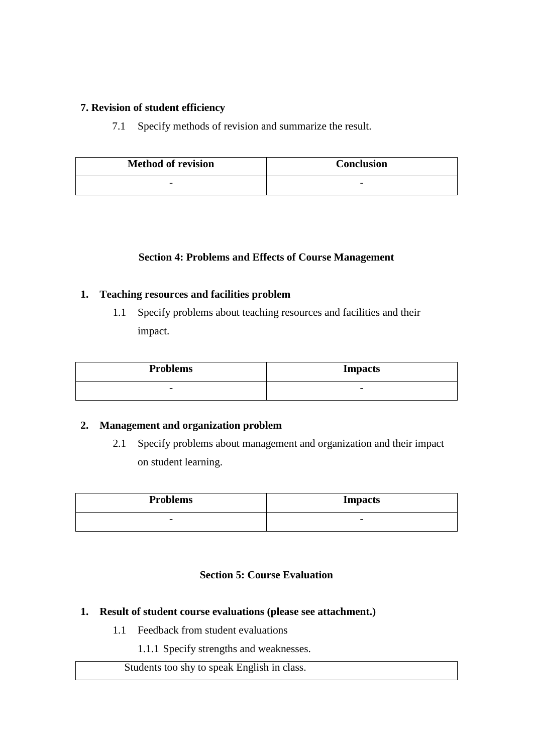#### **7. Revision of student efficiency**

7.1 Specify methods of revision and summarize the result.

| <b>Method of revision</b> | <b>Conclusion</b>        |
|---------------------------|--------------------------|
| $\overline{\phantom{0}}$  | $\overline{\phantom{0}}$ |

### **Section 4: Problems and Effects of Course Management**

### **1. Teaching resources and facilities problem**

1.1 Specify problems about teaching resources and facilities and their impact.

| <b>Problems</b>          | <b>Impacts</b>           |
|--------------------------|--------------------------|
| $\overline{\phantom{0}}$ | $\overline{\phantom{0}}$ |

#### **2. Management and organization problem**

2.1 Specify problems about management and organization and their impact on student learning.

| <b>Problems</b>          | <b>Impacts</b>           |
|--------------------------|--------------------------|
| $\overline{\phantom{0}}$ | $\overline{\phantom{0}}$ |

#### **Section 5: Course Evaluation**

- **1. Result of student course evaluations (please see attachment.)**
	- 1.1 Feedback from student evaluations
		- 1.1.1 Specify strengths and weaknesses.

Students too shy to speak English in class.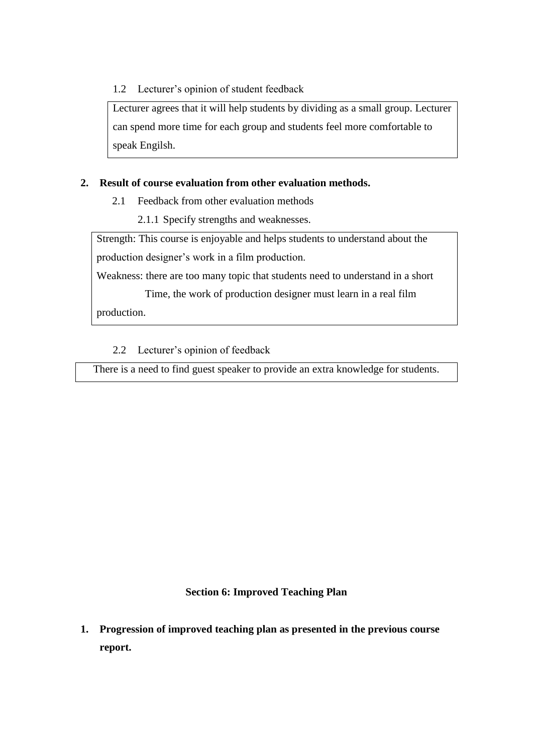1.2 Lecturer's opinion of student feedback

Lecturer agrees that it will help students by dividing as a small group. Lecturer can spend more time for each group and students feel more comfortable to speak Engilsh.

### **2. Result of course evaluation from other evaluation methods.**

- 2.1 Feedback from other evaluation methods
	- 2.1.1 Specify strengths and weaknesses.

Strength: This course is enjoyable and helps students to understand about the production designer's work in a film production.

Weakness: there are too many topic that students need to understand in a short

 Time, the work of production designer must learn in a real film production.

2.2 Lecturer's opinion of feedback

There is a need to find guest speaker to provide an extra knowledge for students.

#### **Section 6: Improved Teaching Plan**

**1. Progression of improved teaching plan as presented in the previous course report.**